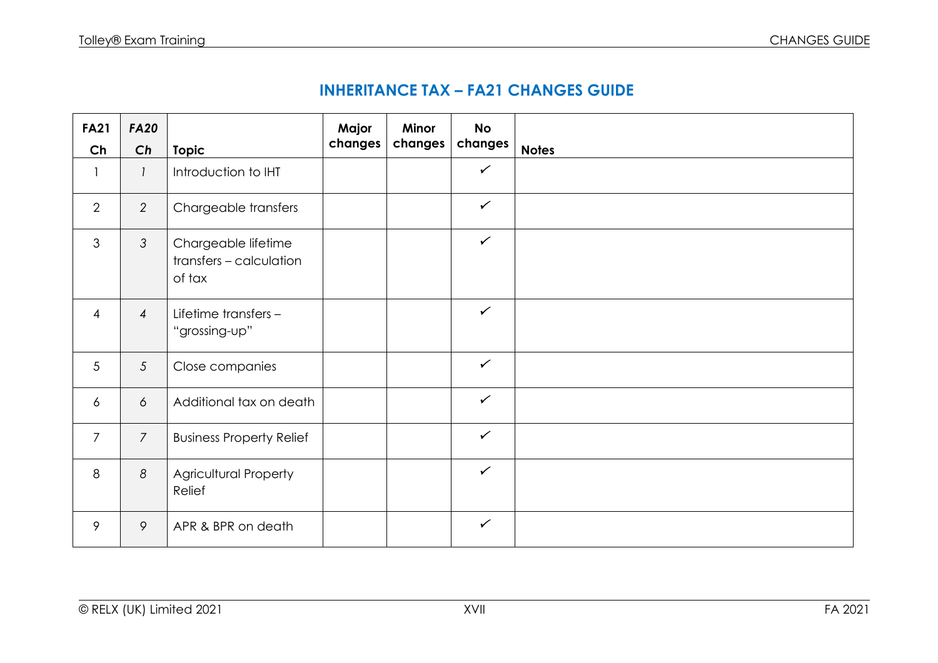| <b>FA21</b><br>Ch | <b>FA20</b><br>Ch |                                                          | Major<br>changes | <b>Minor</b><br>changes | <b>No</b><br>changes | <b>Notes</b> |
|-------------------|-------------------|----------------------------------------------------------|------------------|-------------------------|----------------------|--------------|
|                   |                   | <b>Topic</b>                                             |                  |                         | $\checkmark$         |              |
| $\mathbf{1}$      | $\mathcal{I}$     | Introduction to IHT                                      |                  |                         |                      |              |
| $\overline{2}$    | $\overline{2}$    | Chargeable transfers                                     |                  |                         | $\checkmark$         |              |
| 3                 | $\mathcal{S}$     | Chargeable lifetime<br>transfers - calculation<br>of tax |                  |                         | $\checkmark$         |              |
| $\overline{4}$    | $\overline{4}$    | Lifetime transfers -<br>"grossing-up"                    |                  |                         | $\checkmark$         |              |
| 5                 | $5\overline{)}$   | Close companies                                          |                  |                         | $\checkmark$         |              |
| $\overline{6}$    | 6                 | Additional tax on death                                  |                  |                         | $\checkmark$         |              |
| $\overline{7}$    | $\overline{7}$    | <b>Business Property Relief</b>                          |                  |                         | $\checkmark$         |              |
| 8                 | 8                 | <b>Agricultural Property</b><br>Relief                   |                  |                         | $\checkmark$         |              |
| 9                 | 9                 | APR & BPR on death                                       |                  |                         | $\checkmark$         |              |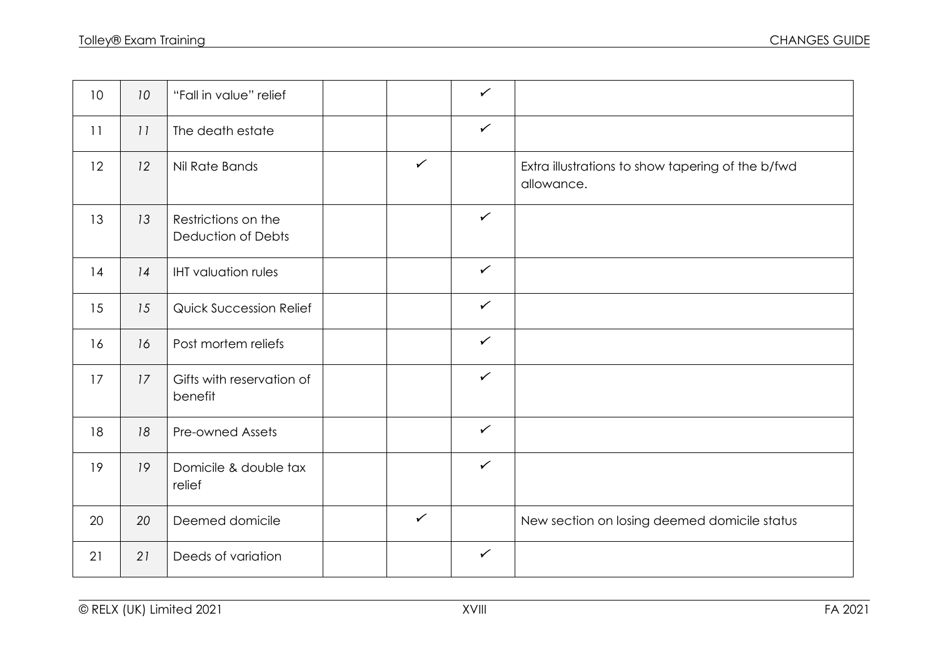| 10 | 10 | "Fall in value" relief                           |              | $\checkmark$ |                                                                 |
|----|----|--------------------------------------------------|--------------|--------------|-----------------------------------------------------------------|
| 11 | 11 | The death estate                                 |              | $\checkmark$ |                                                                 |
| 12 | 12 | Nil Rate Bands                                   | $\checkmark$ |              | Extra illustrations to show tapering of the b/fwd<br>allowance. |
| 13 | 13 | Restrictions on the<br><b>Deduction of Debts</b> |              | $\checkmark$ |                                                                 |
| 14 | 14 | <b>IHT</b> valuation rules                       |              | $\checkmark$ |                                                                 |
| 15 | 15 | <b>Quick Succession Relief</b>                   |              | $\checkmark$ |                                                                 |
| 16 | 16 | Post mortem reliefs                              |              | $\checkmark$ |                                                                 |
| 17 | 17 | Gifts with reservation of<br>benefit             |              | $\checkmark$ |                                                                 |
| 18 | 18 | <b>Pre-owned Assets</b>                          |              | $\checkmark$ |                                                                 |
| 19 | 19 | Domicile & double tax<br>relief                  |              | $\checkmark$ |                                                                 |
| 20 | 20 | Deemed domicile                                  | $\checkmark$ |              | New section on losing deemed domicile status                    |
| 21 | 21 | Deeds of variation                               |              | $\checkmark$ |                                                                 |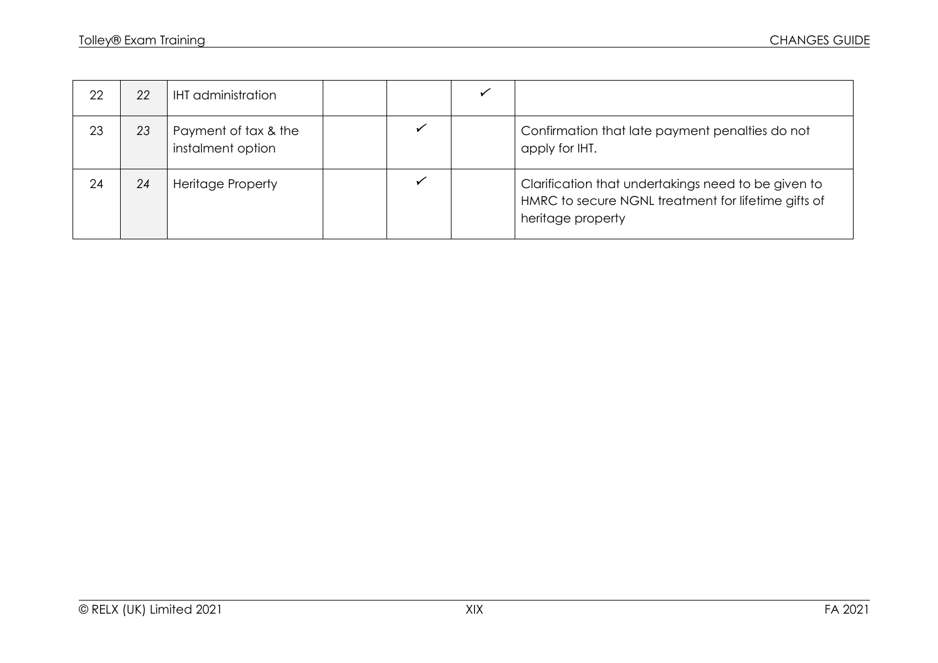| 22 | 22 | <b>IHT</b> administration                 |  |                                                                                                                                 |
|----|----|-------------------------------------------|--|---------------------------------------------------------------------------------------------------------------------------------|
| 23 | 23 | Payment of tax & the<br>instalment option |  | Confirmation that late payment penalties do not<br>apply for IHT.                                                               |
| 24 | 24 | <b>Heritage Property</b>                  |  | Clarification that undertakings need to be given to<br>HMRC to secure NGNL treatment for lifetime gifts of<br>heritage property |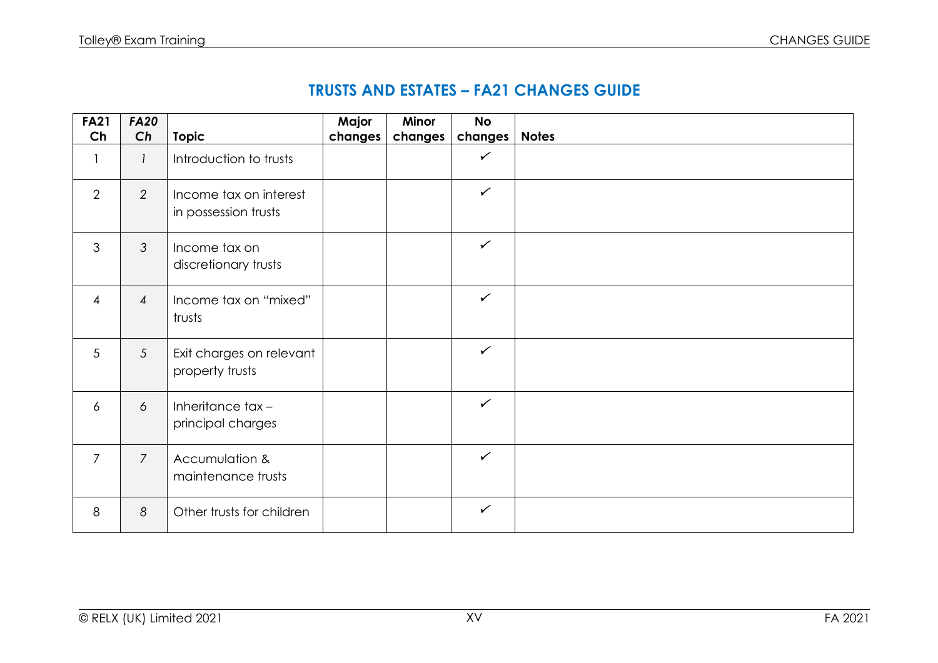## **TRUSTS AND ESTATES – FA21 CHANGES GUIDE**

| <b>FA21</b>    | <b>FA20</b>     |                                                | Major   | Minor   | <b>No</b>    |              |
|----------------|-----------------|------------------------------------------------|---------|---------|--------------|--------------|
| Ch             | Ch              | <b>Topic</b>                                   | changes | changes | changes      | <b>Notes</b> |
| $\mathbf{1}$   | $\mathbf{I}$    | Introduction to trusts                         |         |         | $\checkmark$ |              |
| $\overline{2}$ | 2               | Income tax on interest<br>in possession trusts |         |         | $\checkmark$ |              |
| $\mathfrak{Z}$ | 3               | Income tax on<br>discretionary trusts          |         |         | $\checkmark$ |              |
| $\overline{4}$ | $\overline{4}$  | Income tax on "mixed"<br>trusts                |         |         | $\checkmark$ |              |
| 5              | $5\overline{)}$ | Exit charges on relevant<br>property trusts    |         |         | $\checkmark$ |              |
| $\overline{6}$ | 6               | Inheritance tax-<br>principal charges          |         |         | $\checkmark$ |              |
| $\overline{7}$ | $\overline{7}$  | Accumulation &<br>maintenance trusts           |         |         | $\checkmark$ |              |
| 8              | 8               | Other trusts for children                      |         |         | $\checkmark$ |              |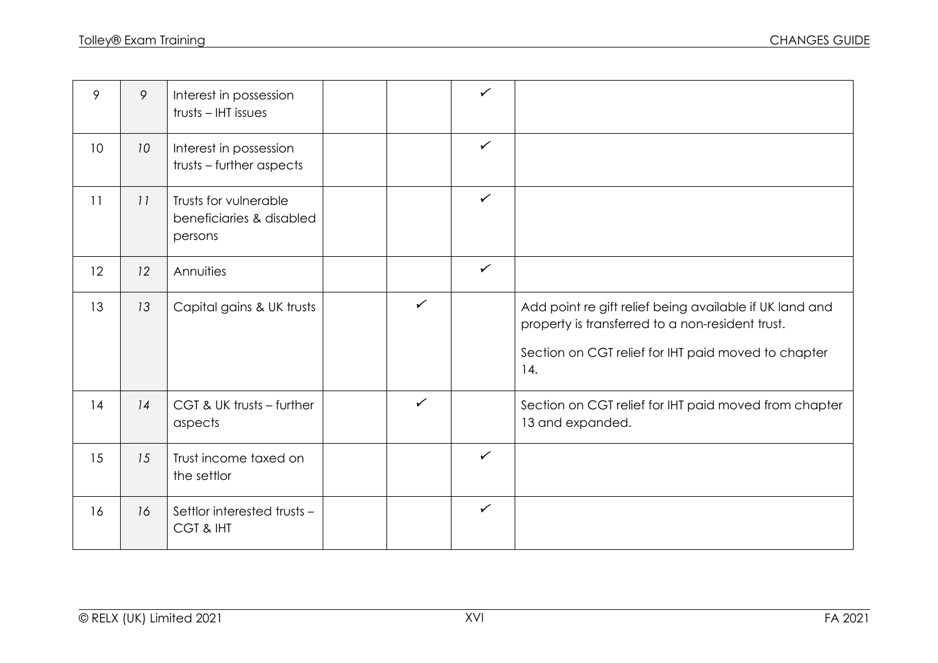| 9               | 9               | Interest in possession<br>trusts - IHT issues                |              | $\checkmark$ |                                                                                                                                                                           |
|-----------------|-----------------|--------------------------------------------------------------|--------------|--------------|---------------------------------------------------------------------------------------------------------------------------------------------------------------------------|
| 10 <sup>°</sup> | 10 <sup>°</sup> | Interest in possession<br>trusts - further aspects           |              | $\checkmark$ |                                                                                                                                                                           |
| 11              | 11              | Trusts for vulnerable<br>beneficiaries & disabled<br>persons |              | $\checkmark$ |                                                                                                                                                                           |
| 12              | 12              | Annuities                                                    |              | $\checkmark$ |                                                                                                                                                                           |
| 13              | 13              | Capital gains & UK trusts                                    | $\checkmark$ |              | Add point re gift relief being available if UK land and<br>property is transferred to a non-resident trust.<br>Section on CGT relief for IHT paid moved to chapter<br>14. |
| 14              | 14              | CGT & UK trusts - further<br>aspects                         | $\checkmark$ |              | Section on CGT relief for IHT paid moved from chapter<br>13 and expanded.                                                                                                 |
| 15              | 15              | Trust income taxed on<br>the settlor                         |              | $\checkmark$ |                                                                                                                                                                           |
| 16              | 16              | Settlor interested trusts -<br>CGT & IHT                     |              | $\checkmark$ |                                                                                                                                                                           |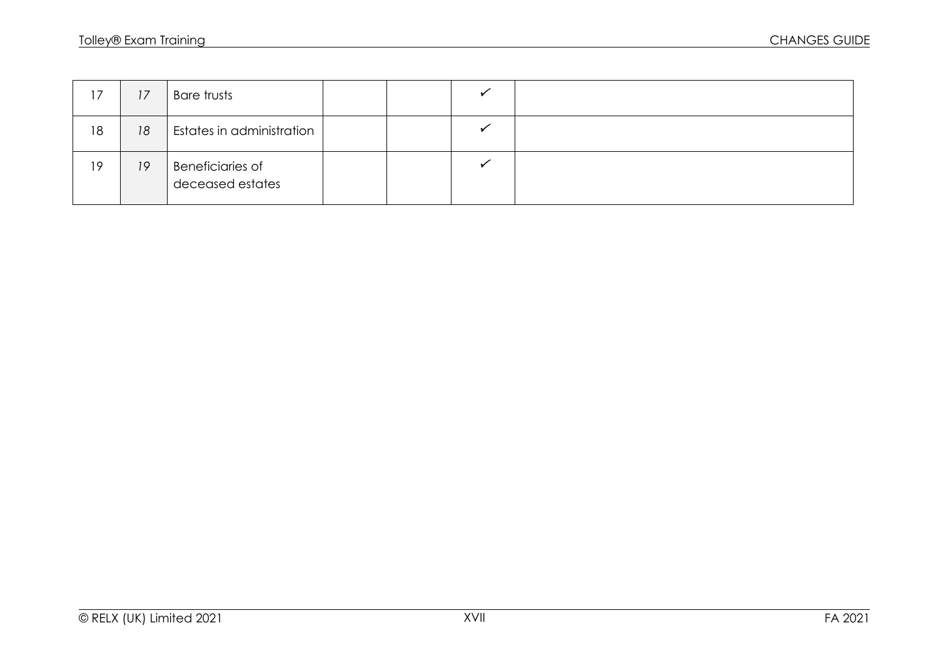| 17 | 17 | Bare trusts                                 |  |  |
|----|----|---------------------------------------------|--|--|
| 18 | 18 | Estates in administration                   |  |  |
| 19 | 19 | <b>Beneficiaries of</b><br>deceased estates |  |  |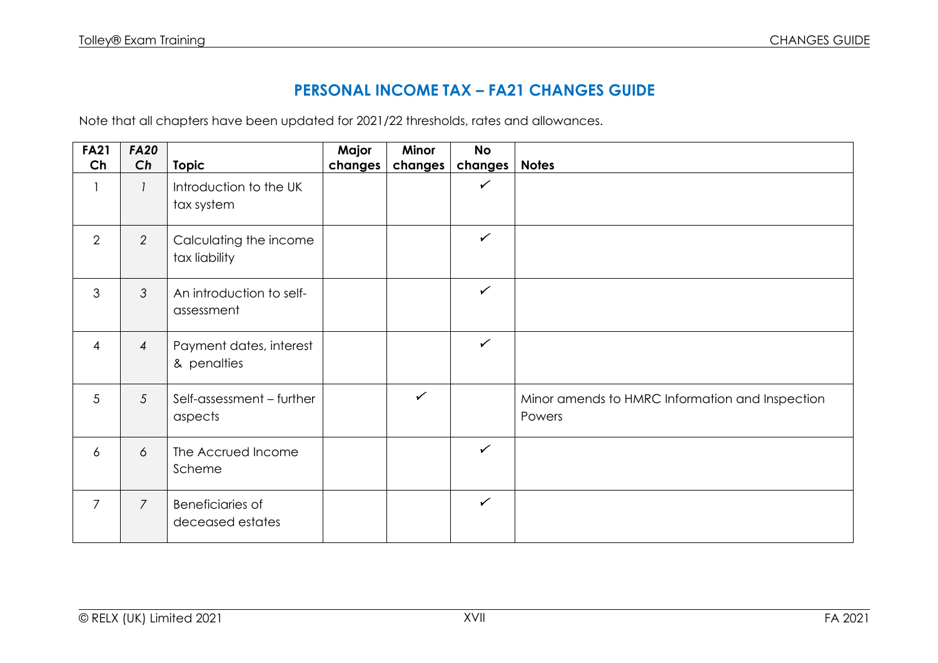## **PERSONAL INCOME TAX – FA21 CHANGES GUIDE**

Note that all chapters have been updated for 2021/22 thresholds, rates and allowances.

| <b>FA21</b>    | <b>FA20</b>     |                                             | Major   | Minor        | <b>No</b>    |                                                           |
|----------------|-----------------|---------------------------------------------|---------|--------------|--------------|-----------------------------------------------------------|
| Ch             | Ch              | <b>Topic</b>                                | changes | changes      | changes      | <b>Notes</b>                                              |
| 1              | $\mathcal{I}$   | Introduction to the UK<br>tax system        |         |              | $\checkmark$ |                                                           |
| 2              | $\overline{2}$  | Calculating the income<br>tax liability     |         |              | $\checkmark$ |                                                           |
| 3              | $\mathfrak{Z}$  | An introduction to self-<br>assessment      |         |              | $\checkmark$ |                                                           |
| $\overline{4}$ | $\overline{4}$  | Payment dates, interest<br>& penalties      |         |              | $\checkmark$ |                                                           |
| 5              | $5\overline{)}$ | Self-assessment - further<br>aspects        |         | $\checkmark$ |              | Minor amends to HMRC Information and Inspection<br>Powers |
| $\overline{6}$ | 6               | The Accrued Income<br>Scheme                |         |              | $\checkmark$ |                                                           |
| $\overline{7}$ | $\overline{7}$  | <b>Beneficiaries of</b><br>deceased estates |         |              | $\checkmark$ |                                                           |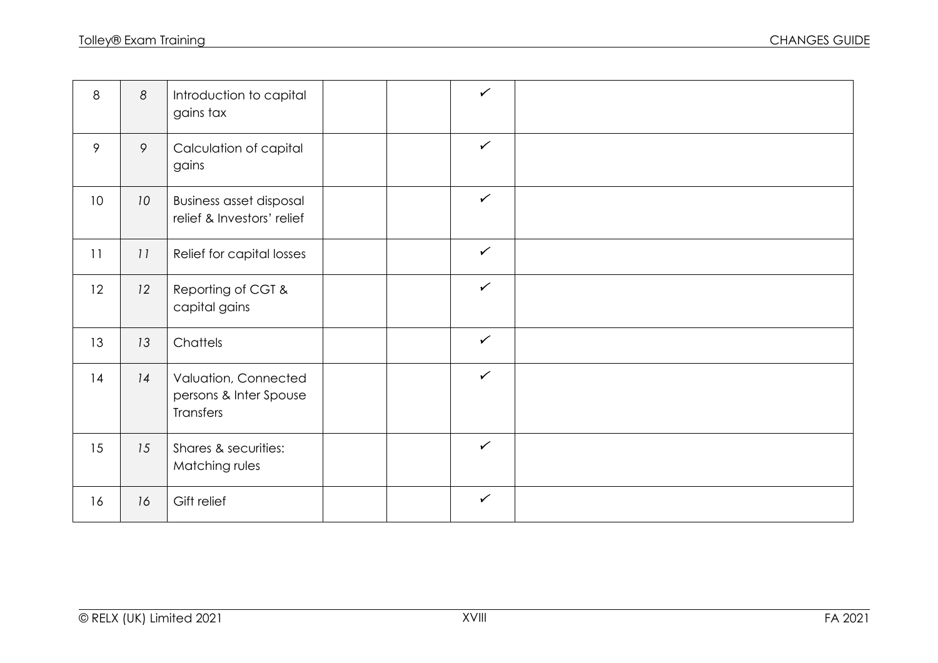| 8  | 8               | Introduction to capital<br>gains tax                         |  | $\checkmark$ |  |
|----|-----------------|--------------------------------------------------------------|--|--------------|--|
| 9  | 9               | Calculation of capital<br>gains                              |  | $\checkmark$ |  |
| 10 | 10 <sup>°</sup> | <b>Business asset disposal</b><br>relief & Investors' relief |  | $\checkmark$ |  |
| 11 | 11              | Relief for capital losses                                    |  | $\checkmark$ |  |
| 12 | 12              | Reporting of CGT &<br>capital gains                          |  | $\checkmark$ |  |
| 13 | 13              | Chattels                                                     |  | $\checkmark$ |  |
| 14 | 14              | Valuation, Connected<br>persons & Inter Spouse<br>Transfers  |  | $\checkmark$ |  |
| 15 | 15              | Shares & securities:<br>Matching rules                       |  | $\checkmark$ |  |
| 16 | 16              | Gift relief                                                  |  | $\checkmark$ |  |